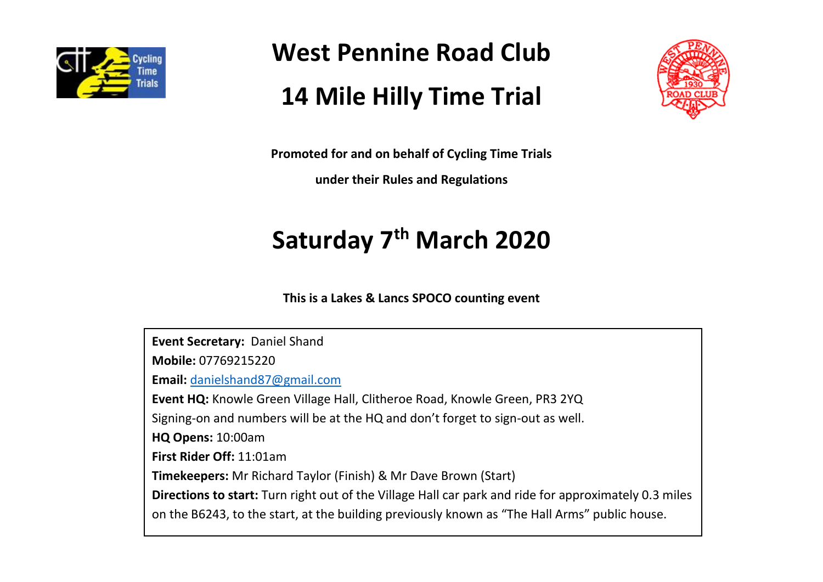

**West Pennine Road Club**

# **14 Mile Hilly Time Trial**



**Promoted for and on behalf of Cycling Time Trials** 

**under their Rules and Regulations**

# **Saturday 7th March 2020**

**This is a Lakes & Lancs SPOCO counting event**

**Event Secretary:** Daniel Shand **Mobile:** 07769215220 **Email:** [danielshand87@gmail.com](mailto:danielshand87@gmail.com) **Event HQ:** Knowle Green Village Hall, Clitheroe Road, Knowle Green, PR3 2YQ Signing-on and numbers will be at the HQ and don't forget to sign-out as well. **HQ Opens:** 10:00am **First Rider Off:** 11:01am **Timekeepers:** Mr Richard Taylor (Finish) & Mr Dave Brown (Start) **Directions to start:** Turn right out of the Village Hall car park and ride for approximately 0.3 miles on the B6243, to the start, at the building previously known as "The Hall Arms" public house.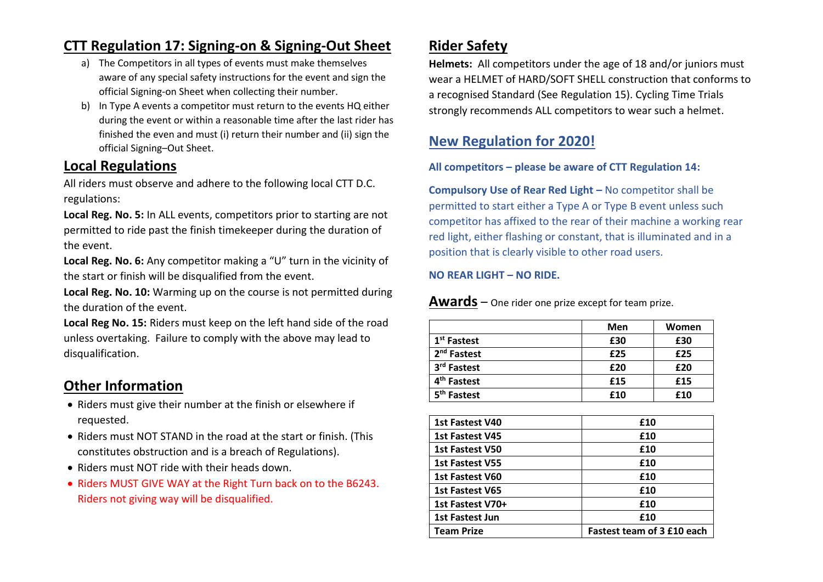## **CTT Regulation 17: Signing-on & Signing-Out Sheet**

- a) The Competitors in all types of events must make themselves aware of any special safety instructions for the event and sign the official Signing-on Sheet when collecting their number.
- b) In Type A events a competitor must return to the events HQ either during the event or within a reasonable time after the last rider has finished the even and must (i) return their number and (ii) sign the official Signing–Out Sheet.

### **Local Regulations**

All riders must observe and adhere to the following local CTT D.C. regulations:

**Local Reg. No. 5:** In ALL events, competitors prior to starting are not permitted to ride past the finish timekeeper during the duration of the event.

**Local Reg. No. 6:** Any competitor making a "U" turn in the vicinity of the start or finish will be disqualified from the event.

**Local Reg. No. 10:** Warming up on the course is not permitted during the duration of the event.

**Local Reg No. 15:** Riders must keep on the left hand side of the road unless overtaking. Failure to comply with the above may lead to disqualification.

## **Other Information**

- Riders must give their number at the finish or elsewhere if requested.
- Riders must NOT STAND in the road at the start or finish. (This constitutes obstruction and is a breach of Regulations).
- Riders must NOT ride with their heads down.
- Riders MUST GIVE WAY at the Right Turn back on to the B6243. Riders not giving way will be disqualified.

## **Rider Safety**

**Helmets:** All competitors under the age of 18 and/or juniors must wear a HELMET of HARD/SOFT SHELL construction that conforms to a recognised Standard (See Regulation 15). Cycling Time Trials strongly recommends ALL competitors to wear such a helmet.

## **New Regulation for 2020!**

#### **All competitors – please be aware of CTT Regulation 14:**

**Compulsory Use of Rear Red Light –** No competitor shall be permitted to start either a Type A or Type B event unless such competitor has affixed to the rear of their machine a working rear red light, either flashing or constant, that is illuminated and in a position that is clearly visible to other road users.

#### **NO REAR LIGHT – NO RIDE.**

#### **Awards** – One rider one prize except for team prize.

|                         | Men | Women |
|-------------------------|-----|-------|
| 1 <sup>st</sup> Fastest | £30 | £30   |
| 2 <sup>nd</sup> Fastest | £25 | £25   |
| 3rd Fastest             | £20 | £20   |
| 4 <sup>th</sup> Fastest | £15 | £15   |
| 5 <sup>th</sup> Fastest | £10 | £10   |

| 1st Fastest V40        | £10                        |
|------------------------|----------------------------|
| <b>1st Fastest V45</b> | £10                        |
| <b>1st Fastest V50</b> | £10                        |
| 1st Fastest V55        | £10                        |
| 1st Fastest V60        | £10                        |
| 1st Fastest V65        | £10                        |
| 1st Fastest V70+       | £10                        |
| 1st Fastest Jun        | £10                        |
| <b>Team Prize</b>      | Fastest team of 3 £10 each |
|                        |                            |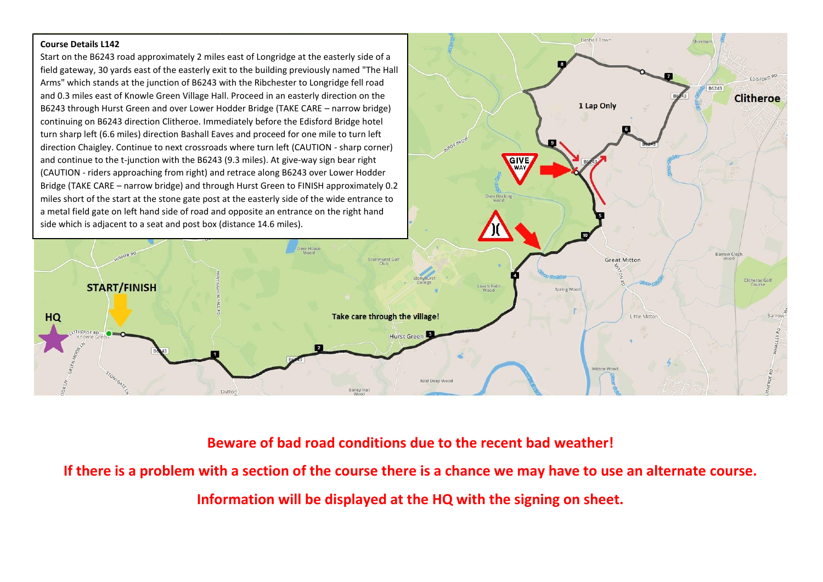#### **Course Details L142**

Start on the B6243 road approximately 2 miles east of Longridge at the easterly side of a field gateway, 30 yards east of the easterly exit to the building previously named "The Hall Arms" which stands at the junction of B6243 with the Ribchester to Longridge fell road and 0.3 miles east of Knowle Green Village Hall. Proceed in an easterly direction on the B6243 through Hurst Green and over Lower Hodder Bridge (TAKE CARE – narrow bridge) continuing on B6243 direction Clitheroe. Immediately before the Edisford Bridge hotel turn sharp left (6.6 miles) direction Bashall Eaves and proceed for one mile to turn left direction Chaigley. Continue to next crossroads where turn left (CAUTION - sharp corner) and continue to the t-junction with the B6243 (9.3 miles). At give-way sign bear right (CAUTION - riders approaching from right) and retrace along B6243 over Lower Hodder Bridge (TAKE CARE – narrow bridge) and through Hurst Green to FINISH approximately 0.2 miles short of the start at the stone gate post at the easterly side of the wide entrance to a metal field gate on left hand side of road and opposite an entrance on the right hand side which is adjacent to a seat and post box (distance 14.6 miles).



Rachall Town

1 Lap Only

GIVE

**Shirebi** 

B6243

EDISFORD RD

**Clitheroe** 

## **Beware of bad road conditions due to the recent bad weather!**

**If there is a problem with a section of the course there is a chance we may have to use an alternate course.**

**Information will be displayed at the HQ with the signing on sheet.**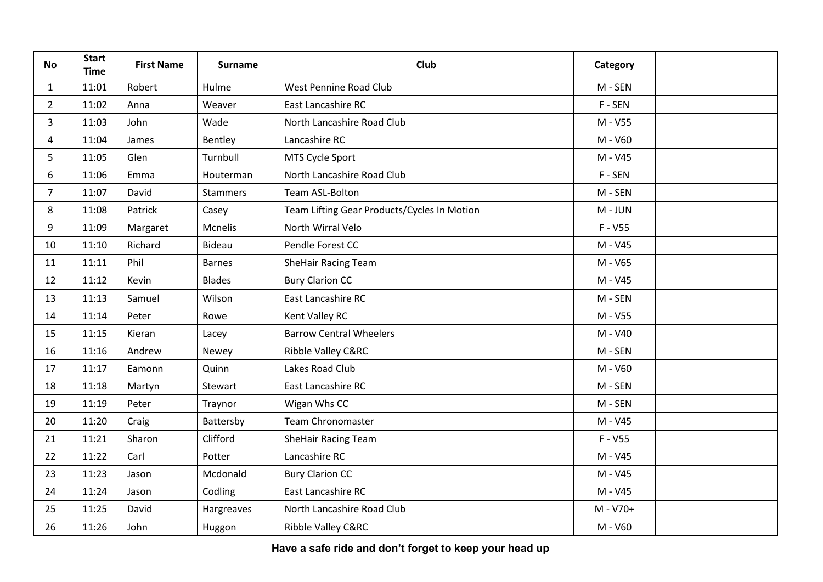| <b>No</b>      | <b>Start</b><br><b>Time</b> | <b>First Name</b> | <b>Surname</b>  | <b>Club</b>                                 | Category  |  |
|----------------|-----------------------------|-------------------|-----------------|---------------------------------------------|-----------|--|
| $\mathbf{1}$   | 11:01                       | Robert            | Hulme           | West Pennine Road Club                      | M - SEN   |  |
| $\overline{2}$ | 11:02                       | Anna              | Weaver          | East Lancashire RC                          | F-SEN     |  |
| 3              | 11:03                       | John              | Wade            | North Lancashire Road Club                  | M - V55   |  |
| 4              | 11:04                       | James             | Bentley         | Lancashire RC                               | M - V60   |  |
| 5              | 11:05                       | Glen              | Turnbull        | MTS Cycle Sport                             | M - V45   |  |
| 6              | 11:06                       | Emma              | Houterman       | North Lancashire Road Club                  | F-SEN     |  |
| $\overline{7}$ | 11:07                       | David             | <b>Stammers</b> | Team ASL-Bolton                             | M - SEN   |  |
| 8              | 11:08                       | Patrick           | Casey           | Team Lifting Gear Products/Cycles In Motion | M - JUN   |  |
| 9              | 11:09                       | Margaret          | Mcnelis         | North Wirral Velo                           | $F - V55$ |  |
| 10             | 11:10                       | Richard           | <b>Bideau</b>   | Pendle Forest CC                            | M - V45   |  |
| 11             | 11:11                       | Phil              | <b>Barnes</b>   | SheHair Racing Team                         | M - V65   |  |
| 12             | 11:12                       | Kevin             | <b>Blades</b>   | <b>Bury Clarion CC</b>                      | M - V45   |  |
| 13             | 11:13                       | Samuel            | Wilson          | East Lancashire RC                          | M - SEN   |  |
| 14             | 11:14                       | Peter             | Rowe            | Kent Valley RC                              | M - V55   |  |
| 15             | 11:15                       | Kieran            | Lacey           | <b>Barrow Central Wheelers</b>              | M - V40   |  |
| 16             | 11:16                       | Andrew            | Newey           | Ribble Valley C&RC                          | M - SEN   |  |
| 17             | 11:17                       | Eamonn            | Quinn           | Lakes Road Club                             | M - V60   |  |
| 18             | 11:18                       | Martyn            | Stewart         | East Lancashire RC                          | M - SEN   |  |
| 19             | 11:19                       | Peter             | Traynor         | Wigan Whs CC                                | M - SEN   |  |
| 20             | 11:20                       | Craig             | Battersby       | <b>Team Chronomaster</b>                    | M - V45   |  |
| 21             | 11:21                       | Sharon            | Clifford        | <b>SheHair Racing Team</b>                  | $F - V55$ |  |
| 22             | 11:22                       | Carl              | Potter          | Lancashire RC                               | M - V45   |  |
| 23             | 11:23                       | Jason             | Mcdonald        | <b>Bury Clarion CC</b>                      | M - V45   |  |
| 24             | 11:24                       | Jason             | Codling         | East Lancashire RC                          | M - V45   |  |
| 25             | 11:25                       | David             | Hargreaves      | North Lancashire Road Club                  | M - V70+  |  |
| 26             | 11:26                       | John              | Huggon          | Ribble Valley C&RC                          | M - V60   |  |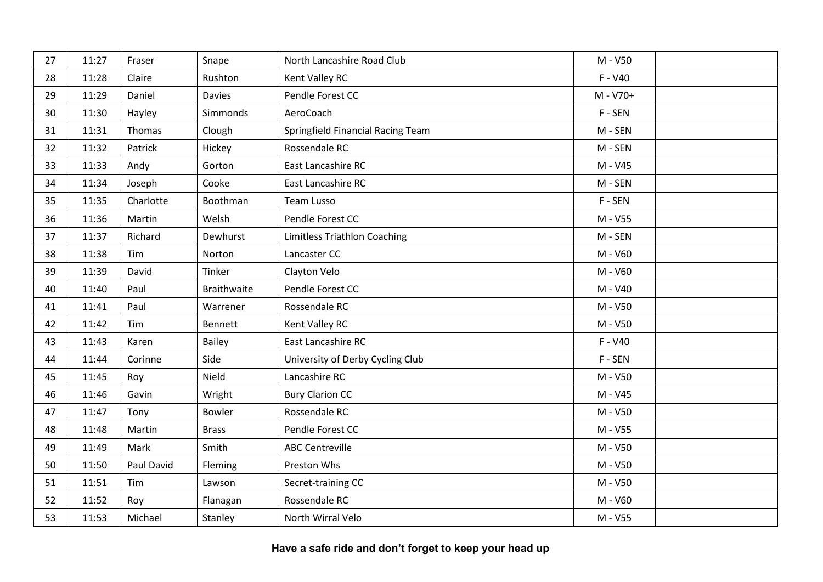| 27 | 11:27 | Fraser     | Snape              | North Lancashire Road Club          | M - V50   |  |
|----|-------|------------|--------------------|-------------------------------------|-----------|--|
| 28 | 11:28 | Claire     | Rushton            | Kent Valley RC                      | $F - V40$ |  |
| 29 | 11:29 | Daniel     | <b>Davies</b>      | Pendle Forest CC                    | M - V70+  |  |
| 30 | 11:30 | Hayley     | Simmonds           | AeroCoach                           | F-SEN     |  |
| 31 | 11:31 | Thomas     | Clough             | Springfield Financial Racing Team   | M - SEN   |  |
| 32 | 11:32 | Patrick    | Hickey             | Rossendale RC                       | M - SEN   |  |
| 33 | 11:33 | Andy       | Gorton             | East Lancashire RC                  | M - V45   |  |
| 34 | 11:34 | Joseph     | Cooke              | East Lancashire RC                  | M - SEN   |  |
| 35 | 11:35 | Charlotte  | Boothman           | Team Lusso                          | F-SEN     |  |
| 36 | 11:36 | Martin     | Welsh              | Pendle Forest CC                    | M - V55   |  |
| 37 | 11:37 | Richard    | Dewhurst           | <b>Limitless Triathlon Coaching</b> | M - SEN   |  |
| 38 | 11:38 | Tim        | Norton             | Lancaster CC                        | M - V60   |  |
| 39 | 11:39 | David      | Tinker             | Clayton Velo                        | M - V60   |  |
| 40 | 11:40 | Paul       | <b>Braithwaite</b> | Pendle Forest CC                    | M - V40   |  |
| 41 | 11:41 | Paul       | Warrener           | Rossendale RC                       | M - V50   |  |
| 42 | 11:42 | Tim        | <b>Bennett</b>     | Kent Valley RC                      | M - V50   |  |
| 43 | 11:43 | Karen      | <b>Bailey</b>      | East Lancashire RC                  | $F - V40$ |  |
| 44 | 11:44 | Corinne    | Side               | University of Derby Cycling Club    | F-SEN     |  |
| 45 | 11:45 | Roy        | Nield              | Lancashire RC                       | M - V50   |  |
| 46 | 11:46 | Gavin      | Wright             | <b>Bury Clarion CC</b>              | M - V45   |  |
| 47 | 11:47 | Tony       | <b>Bowler</b>      | Rossendale RC                       | M - V50   |  |
| 48 | 11:48 | Martin     | <b>Brass</b>       | Pendle Forest CC                    | M - V55   |  |
| 49 | 11:49 | Mark       | Smith              | <b>ABC Centreville</b>              | M - V50   |  |
| 50 | 11:50 | Paul David | Fleming            | Preston Whs                         | M - V50   |  |
| 51 | 11:51 | Tim        | Lawson             | Secret-training CC                  | M - V50   |  |
| 52 | 11:52 | Roy        | Flanagan           | Rossendale RC                       | M - V60   |  |
| 53 | 11:53 | Michael    | Stanley            | North Wirral Velo                   | M - V55   |  |